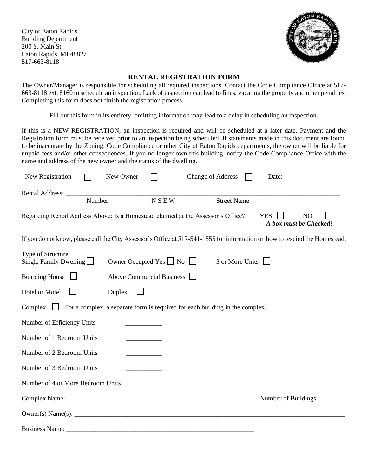City of Eaton Rapids Building Department 200 S. Main St. Eaton Rapids, MI 48827 517-663-8118



## **RENTAL REGISTRATION FORM**

The Owner/Manager is responsible for scheduling all required inspections. Contact the Code Compliance Office at 517- 663-8118 ext. 8160 to schedule an inspection. Lack of inspection can lead to fines, vacating the property and other penalties. Completing this form does not finish the registration process.

Fill out this form in its entirety, omitting information may lead to a delay in scheduling an inspection.

If this is a NEW REGISTRATION, an inspection is required and will be scheduled at a later date. Payment and the Registration form must be received prior to an inspection being scheduled. If statements made in this document are found to be inaccurate by the Zoning, Code Compliance or other City of Eaton Rapids departments, the owner will be liable for unpaid fees and/or other consequences. If you no longer own this building, notify the Code Compliance Office with the name and address of the new owner and the status of the dwelling.

| New Registration                                                                                                            |        | New Owner                           |             | <b>Change of Address</b> |  | Date:      |                                          |
|-----------------------------------------------------------------------------------------------------------------------------|--------|-------------------------------------|-------------|--------------------------|--|------------|------------------------------------------|
|                                                                                                                             |        |                                     |             |                          |  |            |                                          |
|                                                                                                                             | Number |                                     | <b>NSEW</b> | <b>Street Name</b>       |  |            |                                          |
| Regarding Rental Address Above: Is a Homestead claimed at the Assessor's Office?                                            |        |                                     |             |                          |  | <b>YES</b> | N <sub>O</sub><br>A box must be Checked! |
| If you do not know, please call the City Assessor's Office at 517-541-1555 for information on how to rescind the Homestead. |        |                                     |             |                          |  |            |                                          |
| Type of Structure:<br>Single Family Dwelling $\Box$                                                                         |        | Owner Occupied Yes $\Box$ No $\Box$ |             | 3 or More Units          |  |            |                                          |
| Boarding House $\Box$<br>Above Commercial Business                                                                          |        |                                     |             |                          |  |            |                                          |
| Hotel or Motel<br>Duplex                                                                                                    |        |                                     |             |                          |  |            |                                          |
| Complex $\Box$ For a complex, a separate form is required for each building in the complex.                                 |        |                                     |             |                          |  |            |                                          |
| Number of Efficiency Units                                                                                                  |        |                                     |             |                          |  |            |                                          |
| Number of 1 Bedroom Units                                                                                                   |        |                                     |             |                          |  |            |                                          |
| Number of 2 Bedroom Units                                                                                                   |        |                                     |             |                          |  |            |                                          |
| Number of 3 Bedroom Units                                                                                                   |        |                                     |             |                          |  |            |                                          |
| Number of 4 or More Bedroom Units                                                                                           |        |                                     |             |                          |  |            |                                          |
|                                                                                                                             |        |                                     |             |                          |  |            | Number of Buildings:                     |
| Owner(s) Name(s):                                                                                                           |        |                                     |             |                          |  |            |                                          |
| Business Name:                                                                                                              |        |                                     |             |                          |  |            |                                          |